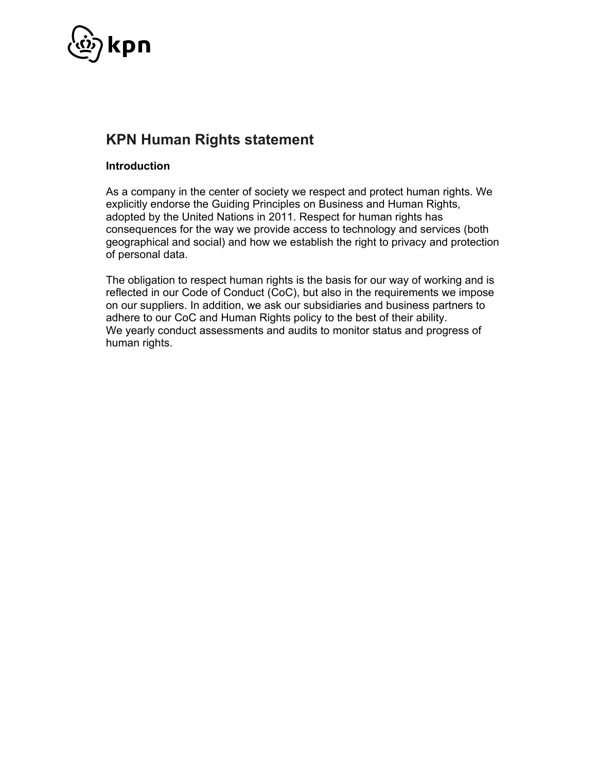

## **KPN Human Rights statement**

## **Introduction**

As a company in the center of society we respect and protect human rights. We explicitly endorse the Guiding Principles on Business and Human Rights, adopted by the United Nations in 2011. Respect for human rights has consequences for the way we provide access to technology and services (both geographical and social) and how we establish the right to privacy and protection of personal data.

The obligation to respect human rights is the basis for our way of working and is reflected in our Code of Conduct (CoC), but also in the requirements we impose on our suppliers. In addition, we ask our subsidiaries and business partners to adhere to our CoC and Human Rights policy to the best of their ability. We yearly conduct assessments and audits to monitor status and progress of human rights.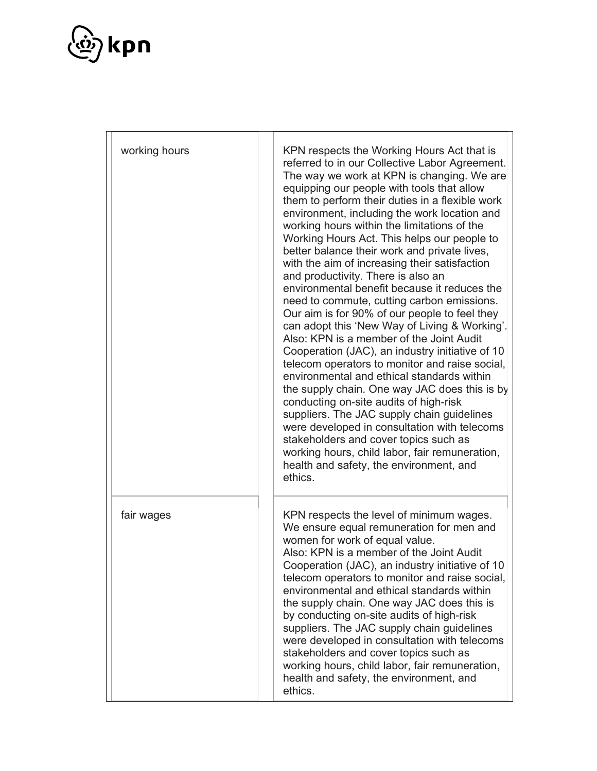

| working hours | KPN respects the Working Hours Act that is<br>referred to in our Collective Labor Agreement.<br>The way we work at KPN is changing. We are<br>equipping our people with tools that allow<br>them to perform their duties in a flexible work<br>environment, including the work location and<br>working hours within the limitations of the<br>Working Hours Act. This helps our people to<br>better balance their work and private lives,<br>with the aim of increasing their satisfaction<br>and productivity. There is also an<br>environmental benefit because it reduces the<br>need to commute, cutting carbon emissions.<br>Our aim is for 90% of our people to feel they<br>can adopt this 'New Way of Living & Working'.<br>Also: KPN is a member of the Joint Audit<br>Cooperation (JAC), an industry initiative of 10<br>telecom operators to monitor and raise social,<br>environmental and ethical standards within<br>the supply chain. One way JAC does this is by<br>conducting on-site audits of high-risk<br>suppliers. The JAC supply chain guidelines<br>were developed in consultation with telecoms<br>stakeholders and cover topics such as<br>working hours, child labor, fair remuneration,<br>health and safety, the environment, and<br>ethics. |                                                                                                                                                                                                                                                                                                                                                                                                                                                                                                                                                                                                                                                                 |
|---------------|---------------------------------------------------------------------------------------------------------------------------------------------------------------------------------------------------------------------------------------------------------------------------------------------------------------------------------------------------------------------------------------------------------------------------------------------------------------------------------------------------------------------------------------------------------------------------------------------------------------------------------------------------------------------------------------------------------------------------------------------------------------------------------------------------------------------------------------------------------------------------------------------------------------------------------------------------------------------------------------------------------------------------------------------------------------------------------------------------------------------------------------------------------------------------------------------------------------------------------------------------------------------------|-----------------------------------------------------------------------------------------------------------------------------------------------------------------------------------------------------------------------------------------------------------------------------------------------------------------------------------------------------------------------------------------------------------------------------------------------------------------------------------------------------------------------------------------------------------------------------------------------------------------------------------------------------------------|
|               | fair wages                                                                                                                                                                                                                                                                                                                                                                                                                                                                                                                                                                                                                                                                                                                                                                                                                                                                                                                                                                                                                                                                                                                                                                                                                                                                | KPN respects the level of minimum wages.<br>We ensure equal remuneration for men and<br>women for work of equal value.<br>Also: KPN is a member of the Joint Audit<br>Cooperation (JAC), an industry initiative of 10<br>telecom operators to monitor and raise social,<br>environmental and ethical standards within<br>the supply chain. One way JAC does this is<br>by conducting on-site audits of high-risk<br>suppliers. The JAC supply chain guidelines<br>were developed in consultation with telecoms<br>stakeholders and cover topics such as<br>working hours, child labor, fair remuneration,<br>health and safety, the environment, and<br>ethics. |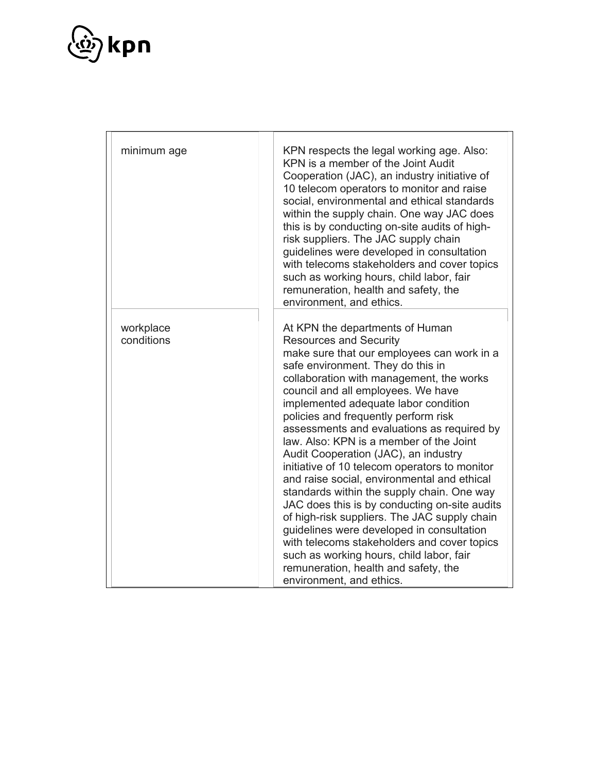

| minimum age             | KPN respects the legal working age. Also:<br>KPN is a member of the Joint Audit<br>Cooperation (JAC), an industry initiative of<br>10 telecom operators to monitor and raise<br>social, environmental and ethical standards<br>within the supply chain. One way JAC does<br>this is by conducting on-site audits of high-<br>risk suppliers. The JAC supply chain<br>guidelines were developed in consultation<br>with telecoms stakeholders and cover topics<br>such as working hours, child labor, fair<br>remuneration, health and safety, the<br>environment, and ethics.                                                                                                                                                                                                                                                                                                                                     |
|-------------------------|-------------------------------------------------------------------------------------------------------------------------------------------------------------------------------------------------------------------------------------------------------------------------------------------------------------------------------------------------------------------------------------------------------------------------------------------------------------------------------------------------------------------------------------------------------------------------------------------------------------------------------------------------------------------------------------------------------------------------------------------------------------------------------------------------------------------------------------------------------------------------------------------------------------------|
| workplace<br>conditions | At KPN the departments of Human<br><b>Resources and Security</b><br>make sure that our employees can work in a<br>safe environment. They do this in<br>collaboration with management, the works<br>council and all employees. We have<br>implemented adequate labor condition<br>policies and frequently perform risk<br>assessments and evaluations as required by<br>law. Also: KPN is a member of the Joint<br>Audit Cooperation (JAC), an industry<br>initiative of 10 telecom operators to monitor<br>and raise social, environmental and ethical<br>standards within the supply chain. One way<br>JAC does this is by conducting on-site audits<br>of high-risk suppliers. The JAC supply chain<br>guidelines were developed in consultation<br>with telecoms stakeholders and cover topics<br>such as working hours, child labor, fair<br>remuneration, health and safety, the<br>environment, and ethics. |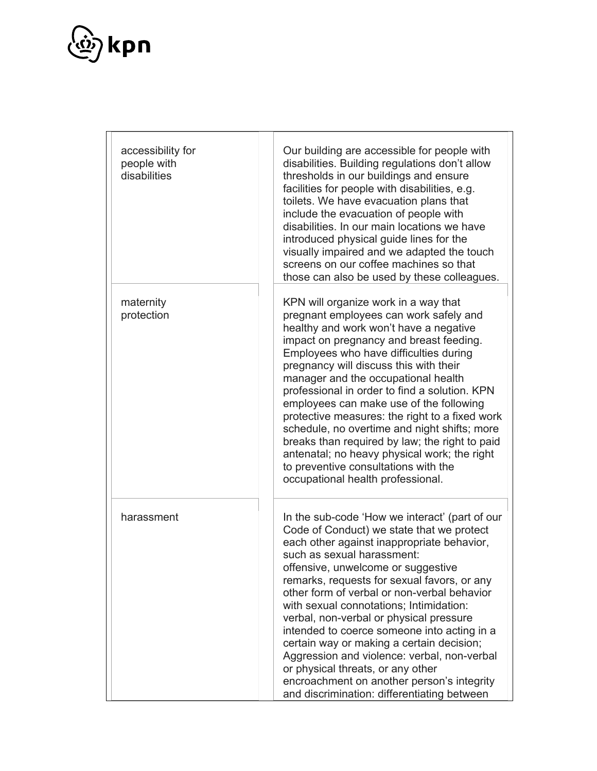

| accessibility for<br>people with<br>disabilities | Our building are accessible for people with<br>disabilities. Building regulations don't allow<br>thresholds in our buildings and ensure<br>facilities for people with disabilities, e.g.<br>toilets. We have evacuation plans that<br>include the evacuation of people with<br>disabilities. In our main locations we have<br>introduced physical guide lines for the<br>visually impaired and we adapted the touch<br>screens on our coffee machines so that<br>those can also be used by these colleagues.                                                                                                                                                                   |
|--------------------------------------------------|--------------------------------------------------------------------------------------------------------------------------------------------------------------------------------------------------------------------------------------------------------------------------------------------------------------------------------------------------------------------------------------------------------------------------------------------------------------------------------------------------------------------------------------------------------------------------------------------------------------------------------------------------------------------------------|
| maternity<br>protection                          | KPN will organize work in a way that<br>pregnant employees can work safely and<br>healthy and work won't have a negative<br>impact on pregnancy and breast feeding.<br>Employees who have difficulties during<br>pregnancy will discuss this with their<br>manager and the occupational health<br>professional in order to find a solution. KPN<br>employees can make use of the following<br>protective measures: the right to a fixed work<br>schedule, no overtime and night shifts; more<br>breaks than required by law; the right to paid<br>antenatal; no heavy physical work; the right<br>to preventive consultations with the<br>occupational health professional.    |
| harassment                                       | In the sub-code 'How we interact' (part of our<br>Code of Conduct) we state that we protect<br>each other against inappropriate behavior,<br>such as sexual harassment:<br>offensive, unwelcome or suggestive<br>remarks, requests for sexual favors, or any<br>other form of verbal or non-verbal behavior<br>with sexual connotations; Intimidation:<br>verbal, non-verbal or physical pressure<br>intended to coerce someone into acting in a<br>certain way or making a certain decision;<br>Aggression and violence: verbal, non-verbal<br>or physical threats, or any other<br>encroachment on another person's integrity<br>and discrimination: differentiating between |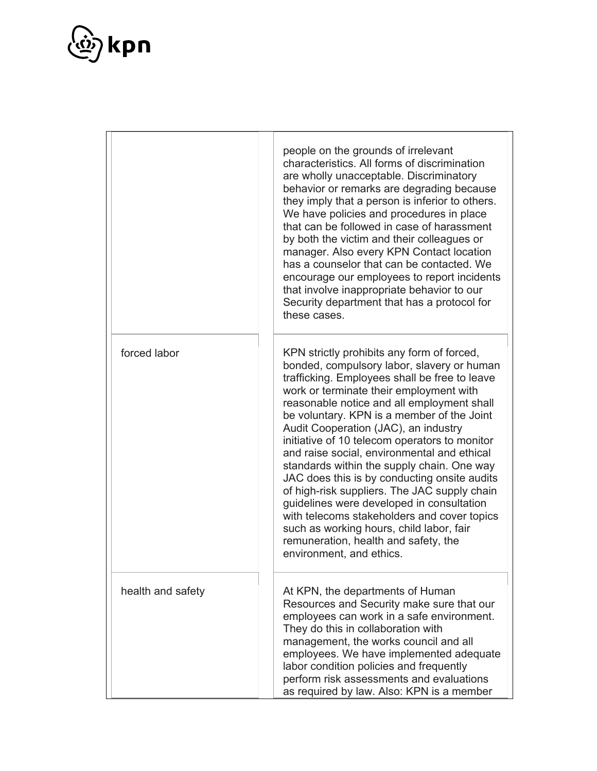

|                   | people on the grounds of irrelevant<br>characteristics. All forms of discrimination<br>are wholly unacceptable. Discriminatory<br>behavior or remarks are degrading because<br>they imply that a person is inferior to others.<br>We have policies and procedures in place<br>that can be followed in case of harassment<br>by both the victim and their colleagues or<br>manager. Also every KPN Contact location<br>has a counselor that can be contacted. We<br>encourage our employees to report incidents<br>that involve inappropriate behavior to our<br>Security department that has a protocol for<br>these cases.                                                                                                                                                        |
|-------------------|------------------------------------------------------------------------------------------------------------------------------------------------------------------------------------------------------------------------------------------------------------------------------------------------------------------------------------------------------------------------------------------------------------------------------------------------------------------------------------------------------------------------------------------------------------------------------------------------------------------------------------------------------------------------------------------------------------------------------------------------------------------------------------|
| forced labor      | KPN strictly prohibits any form of forced,<br>bonded, compulsory labor, slavery or human<br>trafficking. Employees shall be free to leave<br>work or terminate their employment with<br>reasonable notice and all employment shall<br>be voluntary. KPN is a member of the Joint<br>Audit Cooperation (JAC), an industry<br>initiative of 10 telecom operators to monitor<br>and raise social, environmental and ethical<br>standards within the supply chain. One way<br>JAC does this is by conducting onsite audits<br>of high-risk suppliers. The JAC supply chain<br>guidelines were developed in consultation<br>with telecoms stakeholders and cover topics<br>such as working hours, child labor, fair<br>remuneration, health and safety, the<br>environment, and ethics. |
| health and safety | At KPN, the departments of Human<br>Resources and Security make sure that our<br>employees can work in a safe environment.<br>They do this in collaboration with<br>management, the works council and all<br>employees. We have implemented adequate<br>labor condition policies and frequently<br>perform risk assessments and evaluations<br>as required by law. Also: KPN is a member                                                                                                                                                                                                                                                                                                                                                                                           |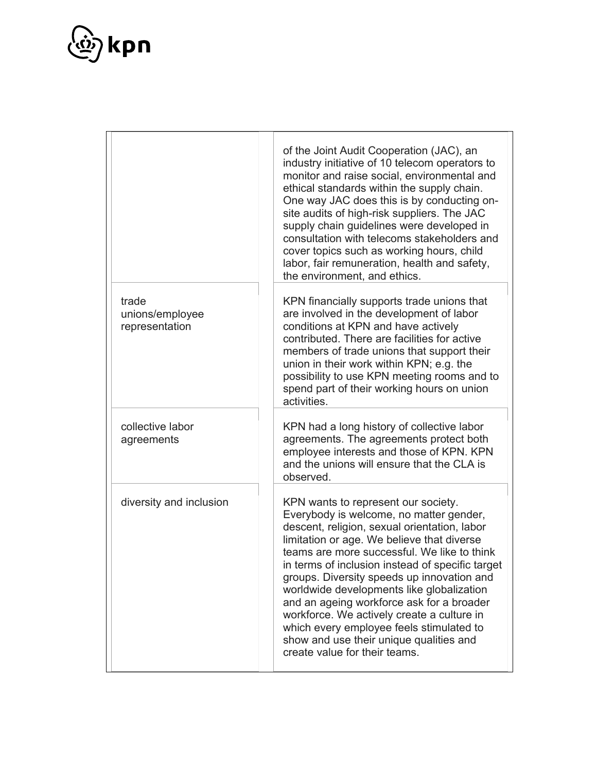

|                                            | of the Joint Audit Cooperation (JAC), an<br>industry initiative of 10 telecom operators to<br>monitor and raise social, environmental and<br>ethical standards within the supply chain.<br>One way JAC does this is by conducting on-<br>site audits of high-risk suppliers. The JAC<br>supply chain guidelines were developed in<br>consultation with telecoms stakeholders and<br>cover topics such as working hours, child<br>labor, fair remuneration, health and safety,<br>the environment, and ethics.                                                                                 |
|--------------------------------------------|-----------------------------------------------------------------------------------------------------------------------------------------------------------------------------------------------------------------------------------------------------------------------------------------------------------------------------------------------------------------------------------------------------------------------------------------------------------------------------------------------------------------------------------------------------------------------------------------------|
| trade<br>unions/employee<br>representation | KPN financially supports trade unions that<br>are involved in the development of labor<br>conditions at KPN and have actively<br>contributed. There are facilities for active<br>members of trade unions that support their<br>union in their work within KPN; e.g. the<br>possibility to use KPN meeting rooms and to<br>spend part of their working hours on union<br>activities.                                                                                                                                                                                                           |
| collective labor<br>agreements             | KPN had a long history of collective labor<br>agreements. The agreements protect both<br>employee interests and those of KPN. KPN<br>and the unions will ensure that the CLA is<br>observed.                                                                                                                                                                                                                                                                                                                                                                                                  |
| diversity and inclusion                    | KPN wants to represent our society.<br>Everybody is welcome, no matter gender,<br>descent, religion, sexual orientation, labor<br>limitation or age. We believe that diverse<br>teams are more successful. We like to think<br>in terms of inclusion instead of specific target<br>groups. Diversity speeds up innovation and<br>worldwide developments like globalization<br>and an ageing workforce ask for a broader<br>workforce. We actively create a culture in<br>which every employee feels stimulated to<br>show and use their unique qualities and<br>create value for their teams. |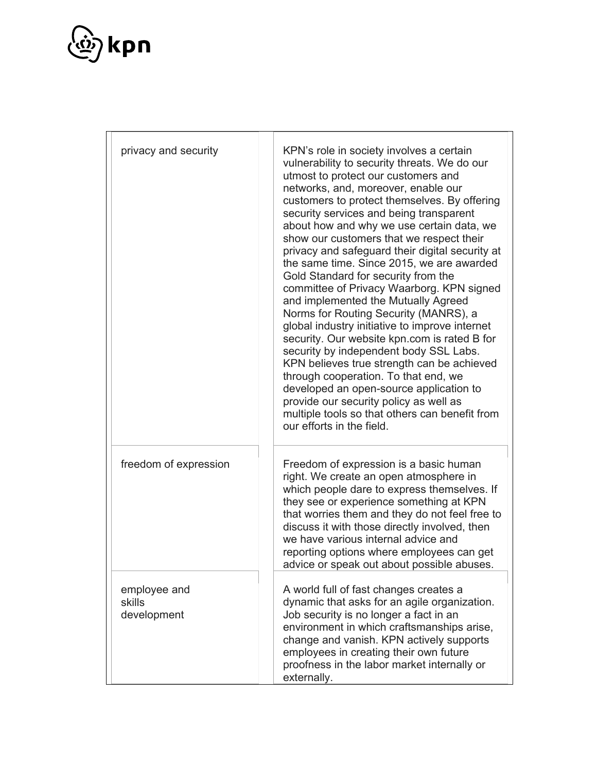

| privacy and security                  | KPN's role in society involves a certain<br>vulnerability to security threats. We do our<br>utmost to protect our customers and<br>networks, and, moreover, enable our<br>customers to protect themselves. By offering<br>security services and being transparent<br>about how and why we use certain data, we<br>show our customers that we respect their<br>privacy and safeguard their digital security at<br>the same time. Since 2015, we are awarded<br>Gold Standard for security from the<br>committee of Privacy Waarborg. KPN signed<br>and implemented the Mutually Agreed<br>Norms for Routing Security (MANRS), a<br>global industry initiative to improve internet<br>security. Our website kpn.com is rated B for<br>security by independent body SSL Labs.<br>KPN believes true strength can be achieved<br>through cooperation. To that end, we<br>developed an open-source application to<br>provide our security policy as well as<br>multiple tools so that others can benefit from<br>our efforts in the field. |
|---------------------------------------|--------------------------------------------------------------------------------------------------------------------------------------------------------------------------------------------------------------------------------------------------------------------------------------------------------------------------------------------------------------------------------------------------------------------------------------------------------------------------------------------------------------------------------------------------------------------------------------------------------------------------------------------------------------------------------------------------------------------------------------------------------------------------------------------------------------------------------------------------------------------------------------------------------------------------------------------------------------------------------------------------------------------------------------|
| freedom of expression                 | Freedom of expression is a basic human<br>right. We create an open atmosphere in<br>which people dare to express themselves. If<br>they see or experience something at KPN<br>that worries them and they do not feel free to<br>discuss it with those directly involved, then<br>we have various internal advice and<br>reporting options where employees can get<br>advice or speak out about possible abuses.                                                                                                                                                                                                                                                                                                                                                                                                                                                                                                                                                                                                                      |
| employee and<br>skills<br>development | A world full of fast changes creates a<br>dynamic that asks for an agile organization.<br>Job security is no longer a fact in an<br>environment in which craftsmanships arise,<br>change and vanish. KPN actively supports<br>employees in creating their own future<br>proofness in the labor market internally or<br>externally.                                                                                                                                                                                                                                                                                                                                                                                                                                                                                                                                                                                                                                                                                                   |